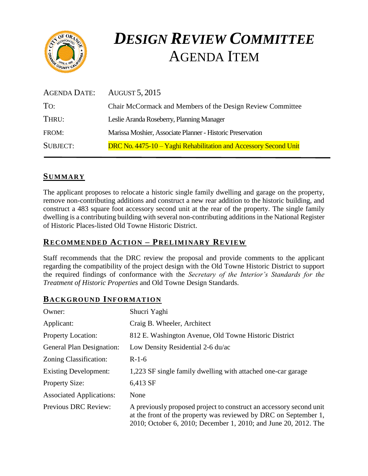

# *DESIGN REVIEW COMMITTEE*  AGENDA ITEM

| AGENDA DATE:    | AUGUST 5, 2015                                                   |
|-----------------|------------------------------------------------------------------|
| To:             | Chair McCormack and Members of the Design Review Committee       |
| THRU:           | Leslie Aranda Roseberry, Planning Manager                        |
| FROM:           | Marissa Moshier, Associate Planner - Historic Preservation       |
| <b>SUBJECT:</b> | DRC No. 4475-10 – Yaghi Rehabilitation and Accessory Second Unit |

## **SUMMARY**

The applicant proposes to relocate a historic single family dwelling and garage on the property, remove non-contributing additions and construct a new rear addition to the historic building, and construct a 483 square foot accessory second unit at the rear of the property. The single family dwelling is a contributing building with several non-contributing additions in the National Register of Historic Places-listed Old Towne Historic District.

#### **RECOMMENDED ACTION – PRELIMINARY REVIEW**

Staff recommends that the DRC review the proposal and provide comments to the applicant regarding the compatibility of the project design with the Old Towne Historic District to support the required findings of conformance with the *Secretary of the Interior's Standards for the Treatment of Historic Properties* and Old Towne Design Standards.

## **BACKGROUND INFORMATION**

| Owner:                          | Shucri Yaghi                                                                                                                                                                                               |
|---------------------------------|------------------------------------------------------------------------------------------------------------------------------------------------------------------------------------------------------------|
| Applicant:                      | Craig B. Wheeler, Architect                                                                                                                                                                                |
| <b>Property Location:</b>       | 812 E. Washington Avenue, Old Towne Historic District                                                                                                                                                      |
| General Plan Designation:       | Low Density Residential 2-6 du/ac                                                                                                                                                                          |
| Zoning Classification:          | $R-1-6$                                                                                                                                                                                                    |
| <b>Existing Development:</b>    | 1,223 SF single family dwelling with attached one-car garage                                                                                                                                               |
| <b>Property Size:</b>           | 6,413 SF                                                                                                                                                                                                   |
| <b>Associated Applications:</b> | None                                                                                                                                                                                                       |
| <b>Previous DRC Review:</b>     | A previously proposed project to construct an accessory second unit<br>at the front of the property was reviewed by DRC on September 1,<br>2010; October 6, 2010; December 1, 2010; and June 20, 2012. The |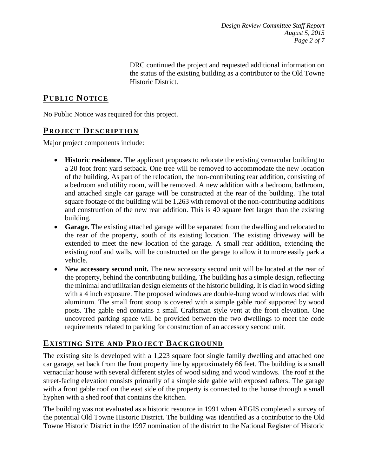DRC continued the project and requested additional information on the status of the existing building as a contributor to the Old Towne Historic District.

# **PUB LIC NOTICE**

No Public Notice was required for this project.

## **PROJECT DESCRIP TION**

Major project components include:

- **Historic residence.** The applicant proposes to relocate the existing vernacular building to a 20 foot front yard setback. One tree will be removed to accommodate the new location of the building. As part of the relocation, the non-contributing rear addition, consisting of a bedroom and utility room, will be removed. A new addition with a bedroom, bathroom, and attached single car garage will be constructed at the rear of the building. The total square footage of the building will be 1,263 with removal of the non-contributing additions and construction of the new rear addition. This is 40 square feet larger than the existing building.
- **Garage.** The existing attached garage will be separated from the dwelling and relocated to the rear of the property, south of its existing location. The existing driveway will be extended to meet the new location of the garage. A small rear addition, extending the existing roof and walls, will be constructed on the garage to allow it to more easily park a vehicle.
- **New accessory second unit.** The new accessory second unit will be located at the rear of the property, behind the contributing building. The building has a simple design, reflecting the minimal and utilitarian design elements of the historic building. It is clad in wood siding with a 4 inch exposure. The proposed windows are double-hung wood windows clad with aluminum. The small front stoop is covered with a simple gable roof supported by wood posts. The gable end contains a small Craftsman style vent at the front elevation. One uncovered parking space will be provided between the two dwellings to meet the code requirements related to parking for construction of an accessory second unit.

# **EXISTING SITE AND PROJECT BACKGROUND**

The existing site is developed with a 1,223 square foot single family dwelling and attached one car garage, set back from the front property line by approximately 66 feet. The building is a small vernacular house with several different styles of wood siding and wood windows. The roof at the street-facing elevation consists primarily of a simple side gable with exposed rafters. The garage with a front gable roof on the east side of the property is connected to the house through a small hyphen with a shed roof that contains the kitchen.

The building was not evaluated as a historic resource in 1991 when AEGIS completed a survey of the potential Old Towne Historic District. The building was identified as a contributor to the Old Towne Historic District in the 1997 nomination of the district to the National Register of Historic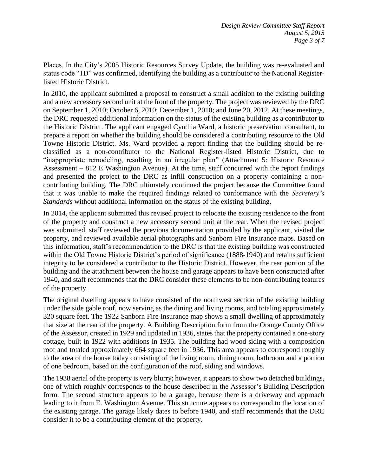Places. In the City's 2005 Historic Resources Survey Update, the building was re-evaluated and status code "1D" was confirmed, identifying the building as a contributor to the National Registerlisted Historic District.

In 2010, the applicant submitted a proposal to construct a small addition to the existing building and a new accessory second unit at the front of the property. The project was reviewed by the DRC on September 1, 2010; October 6, 2010; December 1, 2010; and June 20, 2012. At these meetings, the DRC requested additional information on the status of the existing building as a contributor to the Historic District. The applicant engaged Cynthia Ward, a historic preservation consultant, to prepare a report on whether the building should be considered a contributing resource to the Old Towne Historic District. Ms. Ward provided a report finding that the building should be reclassified as a non-contributor to the National Register-listed Historic District, due to "inappropriate remodeling, resulting in an irregular plan" (Attachment 5: Historic Resource Assessment – 812 E Washington Avenue). At the time, staff concurred with the report findings and presented the project to the DRC as infill construction on a property containing a noncontributing building. The DRC ultimately continued the project because the Committee found that it was unable to make the required findings related to conformance with the *Secretary's Standards* without additional information on the status of the existing building.

In 2014, the applicant submitted this revised project to relocate the existing residence to the front of the property and construct a new accessory second unit at the rear. When the revised project was submitted, staff reviewed the previous documentation provided by the applicant, visited the property, and reviewed available aerial photographs and Sanborn Fire Insurance maps. Based on this information, staff's recommendation to the DRC is that the existing building was constructed within the Old Towne Historic District's period of significance (1888-1940) and retains sufficient integrity to be considered a contributor to the Historic District. However, the rear portion of the building and the attachment between the house and garage appears to have been constructed after 1940, and staff recommends that the DRC consider these elements to be non-contributing features of the property.

The original dwelling appears to have consisted of the northwest section of the existing building under the side gable roof, now serving as the dining and living rooms, and totaling approximately 320 square feet. The 1922 Sanborn Fire Insurance map shows a small dwelling of approximately that size at the rear of the property. A Building Description form from the Orange County Office of the Assessor, created in 1929 and updated in 1936, states that the property contained a one-story cottage, built in 1922 with additions in 1935. The building had wood siding with a composition roof and totaled approximately 664 square feet in 1936. This area appears to correspond roughly to the area of the house today consisting of the living room, dining room, bathroom and a portion of one bedroom, based on the configuration of the roof, siding and windows.

The 1938 aerial of the property is very blurry; however, it appears to show two detached buildings, one of which roughly corresponds to the house described in the Assessor's Building Description form. The second structure appears to be a garage, because there is a driveway and approach leading to it from E. Washington Avenue. This structure appears to correspond to the location of the existing garage. The garage likely dates to before 1940, and staff recommends that the DRC consider it to be a contributing element of the property.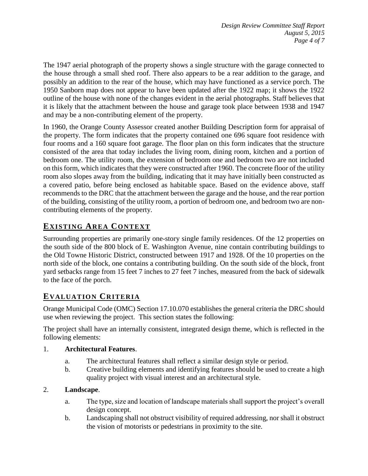The 1947 aerial photograph of the property shows a single structure with the garage connected to the house through a small shed roof. There also appears to be a rear addition to the garage, and possibly an addition to the rear of the house, which may have functioned as a service porch. The 1950 Sanborn map does not appear to have been updated after the 1922 map; it shows the 1922 outline of the house with none of the changes evident in the aerial photographs. Staff believes that it is likely that the attachment between the house and garage took place between 1938 and 1947 and may be a non-contributing element of the property.

In 1960, the Orange County Assessor created another Building Description form for appraisal of the property. The form indicates that the property contained one 696 square foot residence with four rooms and a 160 square foot garage. The floor plan on this form indicates that the structure consisted of the area that today includes the living room, dining room, kitchen and a portion of bedroom one. The utility room, the extension of bedroom one and bedroom two are not included on this form, which indicates that they were constructed after 1960. The concrete floor of the utility room also slopes away from the building, indicating that it may have initially been constructed as a covered patio, before being enclosed as habitable space. Based on the evidence above, staff recommends to the DRC that the attachment between the garage and the house, and the rear portion of the building, consisting of the utility room, a portion of bedroom one, and bedroom two are noncontributing elements of the property.

# **EXISTING AREA CONTEXT**

Surrounding properties are primarily one-story single family residences. Of the 12 properties on the south side of the 800 block of E. Washington Avenue, nine contain contributing buildings to the Old Towne Historic District, constructed between 1917 and 1928. Of the 10 properties on the north side of the block, one contains a contributing building. On the south side of the block, front yard setbacks range from 15 feet 7 inches to 27 feet 7 inches, measured from the back of sidewalk to the face of the porch.

# **EVALUATION CRITERIA**

Orange Municipal Code (OMC) Section 17.10.070 establishes the general criteria the DRC should use when reviewing the project. This section states the following:

The project shall have an internally consistent, integrated design theme, which is reflected in the following elements:

#### 1. **Architectural Features**.

- a. The architectural features shall reflect a similar design style or period.
- b. Creative building elements and identifying features should be used to create a high quality project with visual interest and an architectural style.

#### 2. **Landscape**.

- a. The type, size and location of landscape materials shall support the project's overall design concept.
- b. Landscaping shall not obstruct visibility of required addressing, nor shall it obstruct the vision of motorists or pedestrians in proximity to the site.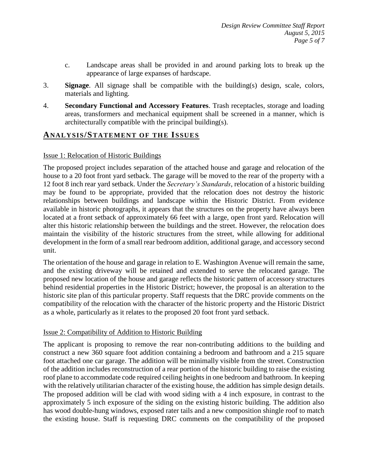- c. Landscape areas shall be provided in and around parking lots to break up the appearance of large expanses of hardscape.
- 3. **Signage**. All signage shall be compatible with the building(s) design, scale, colors, materials and lighting.
- 4. **Secondary Functional and Accessory Features**. Trash receptacles, storage and loading areas, transformers and mechanical equipment shall be screened in a manner, which is architecturally compatible with the principal building(s).

## **ANALY SIS/STATEMENT OF THE ISSUES**

#### Issue 1: Relocation of Historic Buildings

The proposed project includes separation of the attached house and garage and relocation of the house to a 20 foot front yard setback. The garage will be moved to the rear of the property with a 12 foot 8 inch rear yard setback. Under the *Secretary's Standards,* relocation of a historic building may be found to be appropriate, provided that the relocation does not destroy the historic relationships between buildings and landscape within the Historic District. From evidence available in historic photographs, it appears that the structures on the property have always been located at a front setback of approximately 66 feet with a large, open front yard. Relocation will alter this historic relationship between the buildings and the street. However, the relocation does maintain the visibility of the historic structures from the street, while allowing for additional development in the form of a small rear bedroom addition, additional garage, and accessory second unit.

The orientation of the house and garage in relation to E. Washington Avenue will remain the same, and the existing driveway will be retained and extended to serve the relocated garage. The proposed new location of the house and garage reflects the historic pattern of accessory structures behind residential properties in the Historic District; however, the proposal is an alteration to the historic site plan of this particular property. Staff requests that the DRC provide comments on the compatibility of the relocation with the character of the historic property and the Historic District as a whole, particularly as it relates to the proposed 20 foot front yard setback.

#### Issue 2: Compatibility of Addition to Historic Building

The applicant is proposing to remove the rear non-contributing additions to the building and construct a new 360 square foot addition containing a bedroom and bathroom and a 215 square foot attached one car garage. The addition will be minimally visible from the street. Construction of the addition includes reconstruction of a rear portion of the historic building to raise the existing roof plane to accommodate code required ceiling heights in one bedroom and bathroom. In keeping with the relatively utilitarian character of the existing house, the addition has simple design details. The proposed addition will be clad with wood siding with a 4 inch exposure, in contrast to the approximately 5 inch exposure of the siding on the existing historic building. The addition also has wood double-hung windows, exposed rater tails and a new composition shingle roof to match the existing house. Staff is requesting DRC comments on the compatibility of the proposed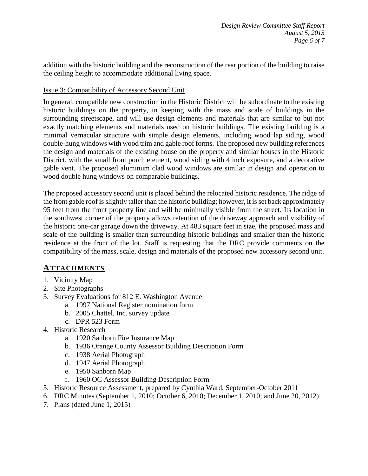addition with the historic building and the reconstruction of the rear portion of the building to raise the ceiling height to accommodate additional living space.

#### Issue 3: Compatibility of Accessory Second Unit

In general, compatible new construction in the Historic District will be subordinate to the existing historic buildings on the property, in keeping with the mass and scale of buildings in the surrounding streetscape, and will use design elements and materials that are similar to but not exactly matching elements and materials used on historic buildings. The existing building is a minimal vernacular structure with simple design elements, including wood lap siding, wood double-hung windows with wood trim and gable roof forms. The proposed new building references the design and materials of the existing house on the property and similar houses in the Historic District, with the small front porch element, wood siding with 4 inch exposure, and a decorative gable vent. The proposed aluminum clad wood windows are similar in design and operation to wood double hung windows on comparable buildings.

The proposed accessory second unit is placed behind the relocated historic residence. The ridge of the front gable roof is slightly taller than the historic building; however, it is set back approximately 95 feet from the front property line and will be minimally visible from the street. Its location in the southwest corner of the property allows retention of the driveway approach and visibility of the historic one-car garage down the driveway. At 483 square feet in size, the proposed mass and scale of the building is smaller than surrounding historic buildings and smaller than the historic residence at the front of the lot. Staff is requesting that the DRC provide comments on the compatibility of the mass, scale, design and materials of the proposed new accessory second unit.

## **ATTACHMENTS**

- 1. Vicinity Map
- 2. Site Photographs
- 3. Survey Evaluations for 812 E. Washington Avenue
	- a. 1997 National Register nomination form
	- b. 2005 Chattel, Inc. survey update
	- c. DPR 523 Form
- 4. Historic Research
	- a. 1920 Sanborn Fire Insurance Map
	- b. 1936 Orange County Assessor Building Description Form
	- c. 1938 Aerial Photograph
	- d. 1947 Aerial Photograph
	- e. 1950 Sanborn Map
	- f. 1960 OC Assessor Building Description Form
- 5. Historic Resource Assessment, prepared by Cynthia Ward, September-October 2011
- 6. DRC Minutes (September 1, 2010; October 6, 2010; December 1, 2010; and June 20, 2012)
- 7. Plans (dated June 1, 2015)